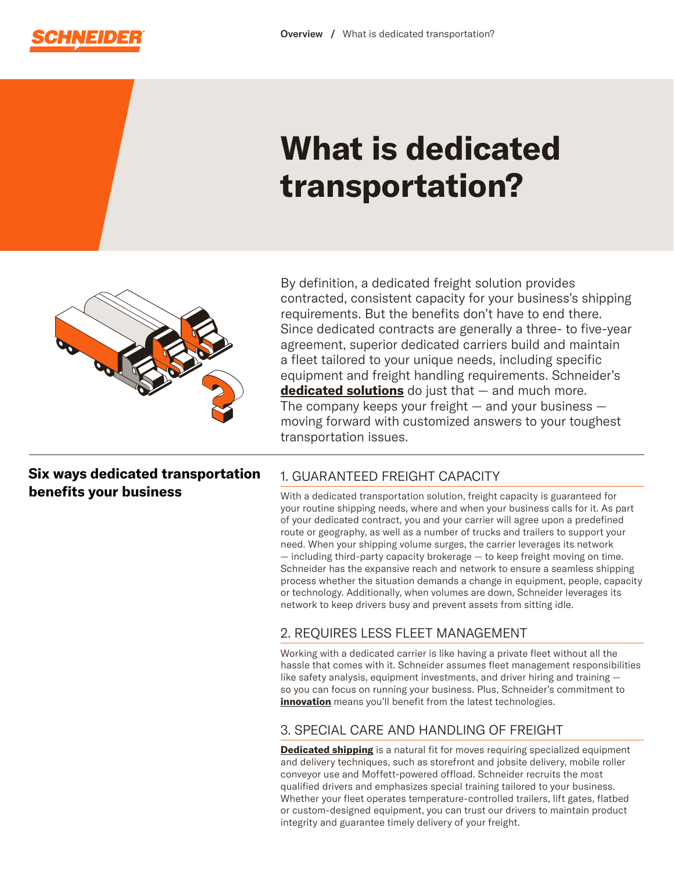

# **What is dedicated transportation?**



By definition, a dedicated freight solution provides contracted, consistent capacity for your business's shipping requirements. But the benefits don't have to end there. Since dedicated contracts are generally a three- to five-year agreement, superior dedicated carriers build and maintain a fleet tailored to your unique needs, including specific equipment and freight handling requirements. Schneider's **[dedicated solutions](https://schneider.com/freight-shipping-solutions/dedicated)** do just that — and much more. The company keeps your freight  $-$  and your business  $$ moving forward with customized answers to your toughest transportation issues.

**Six ways dedicated transportation benefits your business** 

## 1. GUARANTEED FREIGHT CAPACITY

With a dedicated transportation solution, freight capacity is guaranteed for your routine shipping needs, where and when your business calls for it. As part of your dedicated contract, you and your carrier will agree upon a predefined route or geography, as well as a number of trucks and trailers to support your need. When your shipping volume surges, the carrier leverages its network — including third-party capacity brokerage — to keep freight moving on time. Schneider has the expansive reach and network to ensure a seamless shipping process whether the situation demands a change in equipment, people, capacity or technology. Additionally, when volumes are down, Schneider leverages its network to keep drivers busy and prevent assets from sitting idle.

#### 2. REQUIRES LESS FLEET MANAGEMENT

Working with a dedicated carrier is like having a private fleet without all the hassle that comes with it. Schneider assumes fleet management responsibilities like safety analysis, equipment investments, and driver hiring and training so you can focus on running your business. Plus, Schneider's commitment to **[innovation](https://schneider.com/company/about/innovation)** means you'll benefit from the latest technologies.

## 3. SPECIAL CARE AND HANDLING OF FREIGHT

**[Dedicated shipping](https://schneider.com/freight-shipping-solutions/dedicated)** is a natural fit for moves requiring specialized equipment and delivery techniques, such as storefront and jobsite delivery, mobile roller conveyor use and Moffett-powered offload. Schneider recruits the most qualified drivers and emphasizes special training tailored to your business. Whether your fleet operates temperature-controlled trailers, lift gates, flatbed or custom-designed equipment, you can trust our drivers to maintain product integrity and guarantee timely delivery of your freight.